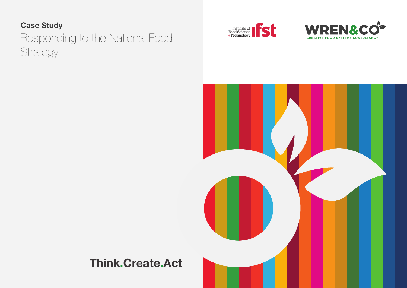**Case Study**

# Responding to the National Food **Strategy**







**Think.Create.Act**